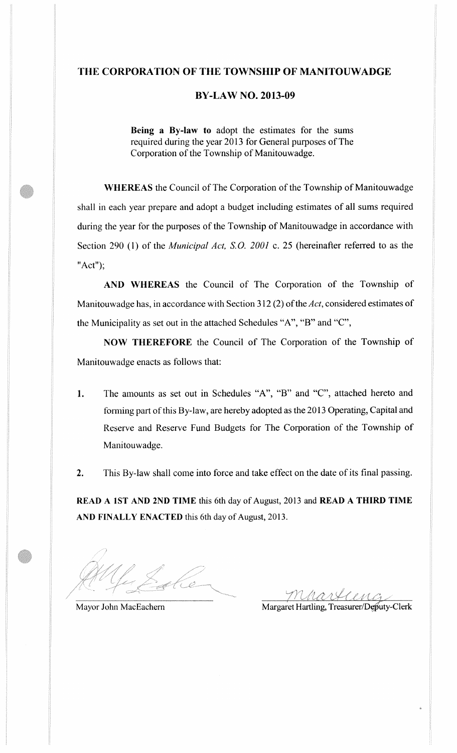## THE CORPORATION OF THE TOWNSHIP OF MANITOUWADGE

## **BY-LAW NO. 2013-09**

Being a By-law to adopt the estimates for the sums required during the year 2013 for General purposes of The Corporation of the Township of Manitouwadge.

**WHEREAS** the Council of The Corporation of the Township of Manitouwadge shall in each year prepare and adopt a budget including estimates of all sums required during the year for the purposes of the Township of Manitouwadge in accordance with Section 290 (1) of the *Municipal Act*, *S.O.* 2001 c. 25 (hereinafter referred to as the " $Act$ ");

AND WHEREAS the Council of The Corporation of the Township of Manitouwadge has, in accordance with Section 312 (2) of the Act, considered estimates of the Municipality as set out in the attached Schedules "A", "B" and "C",

NOW THEREFORE the Council of The Corporation of the Township of Manitouwadge enacts as follows that:

1. The amounts as set out in Schedules "A", "B" and "C", attached hereto and forming part of this By-law, are hereby adopted as the 2013 Operating, Capital and Reserve and Reserve Fund Budgets for The Corporation of the Township of Manitouwadge.

This By-law shall come into force and take effect on the date of its final passing.  $2.$ 

READ A 1ST AND 2ND TIME this 6th day of August, 2013 and READ A THIRD TIME AND FINALLY ENACTED this 6th day of August, 2013.

mhartiena

Mayor John MacEachern

Margaret Hartling, Treasurer/Deputy-Clerk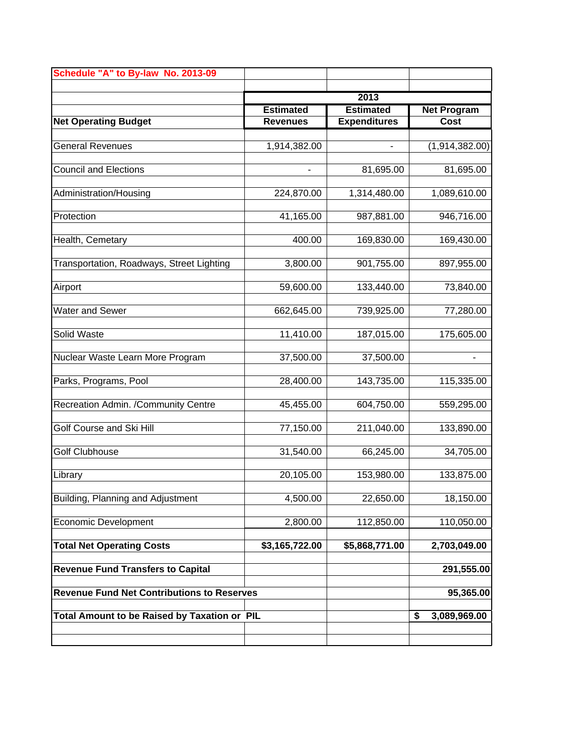| Schedule "A" to By-law No. 2013-09                |                  |                     |                             |  |  |
|---------------------------------------------------|------------------|---------------------|-----------------------------|--|--|
|                                                   |                  | 2013                |                             |  |  |
|                                                   | <b>Estimated</b> | <b>Estimated</b>    | <b>Net Program</b>          |  |  |
| <b>Net Operating Budget</b>                       | <b>Revenues</b>  | <b>Expenditures</b> | <b>Cost</b>                 |  |  |
| <b>General Revenues</b>                           | 1,914,382.00     |                     | $\overline{(1,914,382.00)}$ |  |  |
| <b>Council and Elections</b>                      |                  | 81,695.00           | 81,695.00                   |  |  |
| Administration/Housing                            | 224,870.00       | 1,314,480.00        | 1,089,610.00                |  |  |
| Protection                                        | 41,165.00        | 987,881.00          | 946,716.00                  |  |  |
| Health, Cemetary                                  | 400.00           | 169,830.00          | 169,430.00                  |  |  |
| Transportation, Roadways, Street Lighting         | 3,800.00         | 901,755.00          | 897,955.00                  |  |  |
| Airport                                           | 59,600.00        | 133,440.00          | 73,840.00                   |  |  |
| <b>Water and Sewer</b>                            | 662,645.00       | 739,925.00          | 77,280.00                   |  |  |
| Solid Waste                                       | 11,410.00        | 187,015.00          | 175,605.00                  |  |  |
| Nuclear Waste Learn More Program                  | 37,500.00        | 37,500.00           |                             |  |  |
| Parks, Programs, Pool                             | 28,400.00        | 143,735.00          | 115,335.00                  |  |  |
| Recreation Admin. /Community Centre               | 45,455.00        | 604,750.00          | 559,295.00                  |  |  |
| Golf Course and Ski Hill                          | 77,150.00        | 211,040.00          | 133,890.00                  |  |  |
| <b>Golf Clubhouse</b>                             | 31,540.00        | 66,245.00           | 34,705.00                   |  |  |
| Library                                           | 20,105.00        | 153,980.00          | 133,875.00                  |  |  |
| Building, Planning and Adjustment                 | 4,500.00         | 22,650.00           | 18,150.00                   |  |  |
| Economic Development                              | 2,800.00         | 112,850.00          | 110,050.00                  |  |  |
| <b>Total Net Operating Costs</b>                  | \$3,165,722.00   | \$5,868,771.00      | 2,703,049.00                |  |  |
| <b>Revenue Fund Transfers to Capital</b>          |                  |                     | 291,555.00                  |  |  |
| <b>Revenue Fund Net Contributions to Reserves</b> |                  | 95,365.00           |                             |  |  |
| Total Amount to be Raised by Taxation or PIL      |                  |                     | \$<br>3,089,969.00          |  |  |
|                                                   |                  |                     |                             |  |  |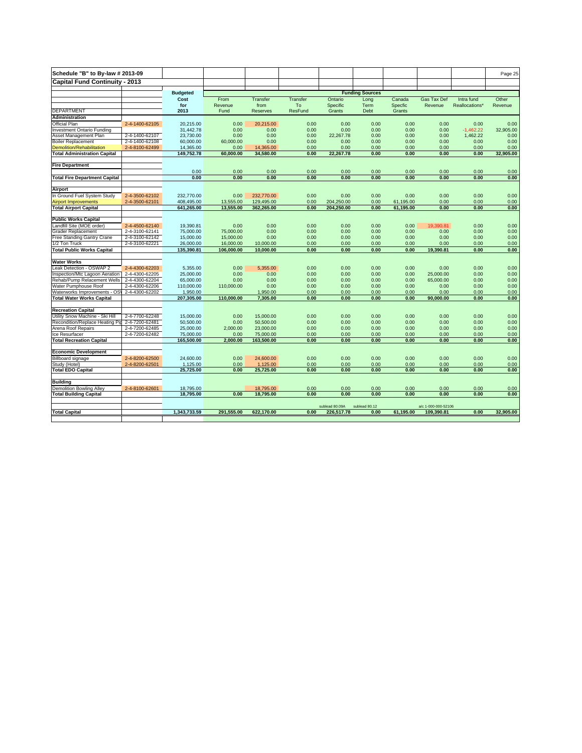| Schedule "B" to By-law # 2013-09                             |                |                        |                 |            |                      |                |                        |              |                        |                | Page 25   |
|--------------------------------------------------------------|----------------|------------------------|-----------------|------------|----------------------|----------------|------------------------|--------------|------------------------|----------------|-----------|
| <b>Capital Fund Continuity - 2013</b>                        |                |                        |                 |            |                      |                |                        |              |                        |                |           |
|                                                              |                |                        |                 |            |                      |                |                        |              |                        |                |           |
|                                                              |                | <b>Budgeted</b>        |                 |            |                      |                | <b>Funding Sources</b> |              |                        |                |           |
|                                                              |                | Cost                   | From            | Transfer   | <b>Transfer</b>      | Ontario        | Long                   | Canada       | <b>Gas Tax Def</b>     | Intra fund     | Other     |
| <b>DEPARTMENT</b>                                            |                | for<br>2013            | Revenue<br>Fund | from       | To<br><b>ResFund</b> | Specific       | Term                   | Specfic      | Revenue                | Reallocations* | Revenue   |
| <b>Administration</b>                                        |                |                        |                 | Reserves   |                      | Grants         | Debt                   | Grants       |                        |                |           |
| <b>Official Plan</b>                                         | 2-4-1400-62105 | 20,215.00              | 0.00            | 20,215.00  | 0.00                 | 0.00           | 0.00                   | 0.00         | 0.00                   | 0.00           | 0.00      |
| nvestment Ontario Funding                                    |                | 31.442.78              | 0.00            | 0.00       | 0.00                 | 0.00           | 0.00                   | 0.00         | 0.00                   | $-1.462.22$    | 32,905.00 |
| Asset Management Plan                                        | 2-4-1400-62107 | 23.730.00              | 0.00            | 0.00       | 0.00                 | 22.267.78      | 0.00                   | 0.00         | 0.00                   | 1,462.22       | 0.00      |
| <b>Boiler Replacement</b>                                    | 2-4-1400-62108 | 60,000.00              | 60,000.00       | 0.00       | 0.00                 | 0.00           | 0.00                   | 0.00         | 0.00                   | 0.00           | 0.00      |
| <b>Demolition/Rehabilitation</b>                             | 2-4-8100-62499 | 14,365.00              | 0.00            | 14,365.00  | 0.00                 | 0.00           | 0.00                   | 0.00         | 0.00                   | 0.00           | 0.00      |
| <b>Total Administration Capital</b>                          |                | 149,752.78             | 60,000.00       | 34,580.00  | 0.00                 | 22,267.78      | 0.00                   | 0.00         | 0.00                   | 0.00           | 32.905.00 |
|                                                              |                |                        |                 |            |                      |                |                        |              |                        |                |           |
| <b>Fire Department</b>                                       |                |                        |                 |            |                      |                |                        |              |                        |                |           |
|                                                              |                | 0.00                   | 0.00            | 0.00       | 0.00                 | 0.00           | 0.00                   | 0.00         | 0.00                   | 0.00           | 0.00      |
| <b>Total Fire Department Capital</b>                         |                | 0.00                   | 0.00            | 0.00       | 0.00                 | 0.00           | 0.00                   | 0.00         | 0.00                   | 0.00           | 0.00      |
|                                                              |                |                        |                 |            |                      |                |                        |              |                        |                |           |
| Airport                                                      |                |                        |                 |            |                      |                |                        |              |                        |                |           |
| In Ground Fuel System Study                                  | 2-4-3500-62102 | 232,770.00             | 0.00            | 232.770.00 | 0.00                 | 0.00           | 0.00                   | 0.00         | 0.00                   | 0.00           | 0.00      |
| <b>Airport Improvements</b>                                  | 2-4-3500-62101 | 408,495.00             | 13,555.00       | 129,495.00 | 0.00                 | 204,250.00     | 0.00                   | 61,195.00    | 0.00                   | 0.00           | 0.00      |
| <b>Total Airport Capital</b>                                 |                | 641,265.00             | 13,555.00       | 362,265.00 | 0.00                 | 204,250.00     | 0.00                   | 61,195.00    | 0.00                   | 0.00           | 0.00      |
|                                                              |                |                        |                 |            |                      |                |                        |              |                        |                |           |
| <b>Public Works Capital</b>                                  |                |                        |                 |            |                      |                |                        |              |                        |                |           |
| andfill Site (MOE order)                                     | 2-4-4500-62140 | 19,390.81              | 0.00            | 0.00       | 0.00                 | 0.00           | 0.00                   | 0.00         | 19,390.81              | 0.00           | 0.00      |
| <b>Grader Replacement</b>                                    | 2-4-3100-62141 | 75,000.00              | 75,000.00       | 0.00       | 0.00                 | 0.00           | 0.00                   | 0.00         | 0.00                   | 0.00           | 0.00      |
| Free Standing Gantry Crane                                   | 2-4-3100-62142 | 15,000.00              | 15,000.00       | 0.00       | 0.00                 | 0.00           | 0.00                   | 0.00         | 0.00                   | 0.00           | 0.00      |
| 1/2 Ton Truck                                                | 2-4-3100-62221 | 26,000.00              | 16,000.00       | 10,000.00  | 0.00                 | 0.00           | 0.00                   | 0.00         | 0.00                   | 0.00           | 0.00      |
| <b>Total Public Works Capital</b>                            |                | 135,390.81             | 106,000.00      | 10.000.00  | 0.00                 | 0.00           | 0.00                   | 0.00         | 19,390.81              | 0.00           | 0.00      |
|                                                              |                |                        |                 |            |                      |                |                        |              |                        |                |           |
| <b>Water Works</b><br>Leak Detection - OSWAP 2               | 2-4-4300-62203 | 5,355.00               | 0.00            | 5,355.00   | 0.00                 | 0.00           | 0.00                   | 0.00         | 0.00                   | 0.00           | 0.00      |
|                                                              | 2-4-4300-62205 | 25,000.00              | 0.00            | 0.00       | 0.00                 | 0.00           | 0.00                   | 0.00         |                        | 0.00           | 0.00      |
| nspection/Mtc Lagoon Aeration<br>Rehab/Pump Relacement Wells | 2-4-4300-62204 | 65,000.00              | 0.00            | 0.00       | 0.00                 | 0.00           | 0.00                   | 0.00         | 25,000.00<br>65,000.00 | 0.00           | 0.00      |
| Water Pumphouse Roof                                         | 2-4-4300-62206 | 110,000.00             | 110,000.00      | 0.00       | 0.00                 | 0.00           | 0.00                   | 0.00         | 0.00                   | 0.00           | 0.00      |
| Waterworks Improvements - OS'                                | 2-4-4300-62202 | 1,950.00               |                 | 1,950.00   | 0.00                 | 0.00           | 0.00                   | 0.00         | 0.00                   | 0.00           | 0.00      |
| <b>Total Water Works Capital</b>                             |                | 207,305.00             | 110,000.00      | 7.305.00   | 0.00                 | 0.00           | 0.00                   | 0.00         | 90,000.00              | 0.00           | 0.00      |
|                                                              |                |                        |                 |            |                      |                |                        |              |                        |                |           |
| <b>Recreation Capital</b>                                    |                |                        |                 |            |                      |                |                        |              |                        |                |           |
| Utility Snow Machine - Ski Hill                              | 2-4-7700-62248 | 15,000.00              | 0.00            | 15,000.00  | 0.00                 | 0.00           | 0.00                   | 0.00         | 0.00                   | 0.00           | 0.00      |
| Recondition/Replace Heating Pip                              | 2-4-7200-62481 | 50,500.00              | 0.00            | 50,500.00  | 0.00                 | 0.00           | 0.00                   | 0.00         | 0.00                   | 0.00           | 0.00      |
| Arena Roof Repairs                                           | 2-4-7200-62485 | 25,000.00              | 2,000.00        | 23,000.00  | 0.00                 | 0.00           | 0.00                   | 0.00         | 0.00                   | 0.00           | 0.00      |
| lce Resurfacer                                               | 2-4-7200-62482 | 75,000.00              | 0.00            | 75,000.00  | 0.00                 | 0.00           | 0.00                   | 0.00         | 0.00                   | 0.00           | 0.00      |
| <b>Total Recreation Capital</b>                              |                | 165,500.00             | 2,000.00        | 163,500.00 | 0.00                 | 0.00           | 0.00                   | 0.00         | 0.00                   | 0.00           | 0.00      |
|                                                              |                |                        |                 |            |                      |                |                        |              |                        |                |           |
| <b>Economic Development</b>                                  |                |                        |                 |            |                      |                |                        |              |                        |                |           |
| <b>Billboard signage</b>                                     | 2-4-8200-62500 | 24,600.00              | 0.00            | 24,600.00  | 0.00                 | 0.00           | 0.00                   | 0.00         | 0.00                   | 0.00           | 0.00      |
| Study (Hotel)                                                | 2-4-8200-62501 | 1,125.00               | 0.00            | 1,125.00   | 0.00                 | 0.00           | 0.00                   | 0.00         | 0.00                   | 0.00           | 0.00      |
| <b>Total EDO Capital</b>                                     |                | 25,725.00              | 0.00            | 25,725.00  | 0.00                 | 0.00           | 0.00                   | 0.00         | 0.00                   | 0.00           | 0.00      |
|                                                              |                |                        |                 |            |                      |                |                        |              |                        |                |           |
| <b>Building</b>                                              |                |                        |                 |            |                      |                |                        |              |                        |                |           |
| <b>Demolition Bowling Alley</b>                              | 2-4-8100-62601 | 18,795.00<br>18.795.00 | 0.00            | 18,795.00  | 0.00<br>0.00         | 0.00<br>0.00   | 0.00<br>0.00           | 0.00<br>0.00 | 0.00<br>0.00           | 0.00<br>0.00   | 0.00      |
| <b>Total Building Capital</b>                                |                |                        |                 | 18,795.00  |                      |                |                        |              |                        |                | 0.00      |
|                                                              |                |                        |                 |            |                      | sublead 80.09A | sublead 80.12          |              | a/c 1-000-000-52106    |                |           |
| <b>Total Capital</b>                                         |                | 1,343,733.59           | 291,555.00      | 622.170.00 | 0.00                 | 226,517.78     | 0.00                   | 61,195.00    | 109,390.81             | 0.00           | 32.905.00 |
|                                                              |                |                        |                 |            |                      |                |                        |              |                        |                |           |